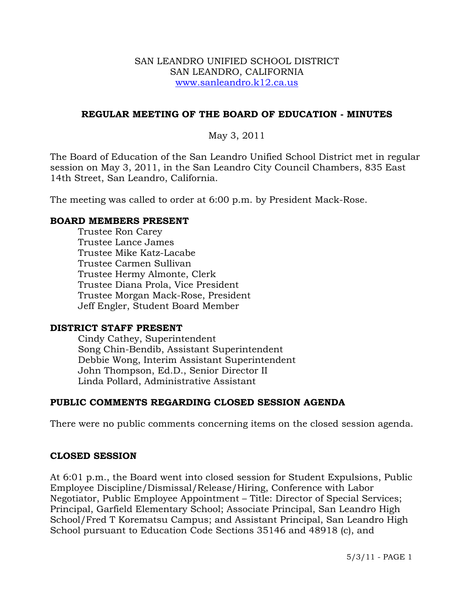#### SAN LEANDRO UNIFIED SCHOOL DISTRICT SAN LEANDRO, CALIFORNIA www.sanleandro.k12.ca.us

# **REGULAR MEETING OF THE BOARD OF EDUCATION - MINUTES**

# May 3, 2011

The Board of Education of the San Leandro Unified School District met in regular session on May 3, 2011, in the San Leandro City Council Chambers, 835 East 14th Street, San Leandro, California.

The meeting was called to order at 6:00 p.m. by President Mack-Rose.

### **BOARD MEMBERS PRESENT**

Trustee Ron Carey Trustee Lance James Trustee Mike Katz-Lacabe Trustee Carmen Sullivan Trustee Hermy Almonte, Clerk Trustee Diana Prola, Vice President Trustee Morgan Mack-Rose, President Jeff Engler, Student Board Member

#### **DISTRICT STAFF PRESENT**

Cindy Cathey, Superintendent Song Chin-Bendib, Assistant Superintendent Debbie Wong, Interim Assistant Superintendent John Thompson, Ed.D., Senior Director II Linda Pollard, Administrative Assistant

# **PUBLIC COMMENTS REGARDING CLOSED SESSION AGENDA**

There were no public comments concerning items on the closed session agenda.

# **CLOSED SESSION**

At 6:01 p.m., the Board went into closed session for Student Expulsions, Public Employee Discipline/Dismissal/Release/Hiring, Conference with Labor Negotiator, Public Employee Appointment – Title: Director of Special Services; Principal, Garfield Elementary School; Associate Principal, San Leandro High School/Fred T Korematsu Campus; and Assistant Principal, San Leandro High School pursuant to Education Code Sections 35146 and 48918 (c), and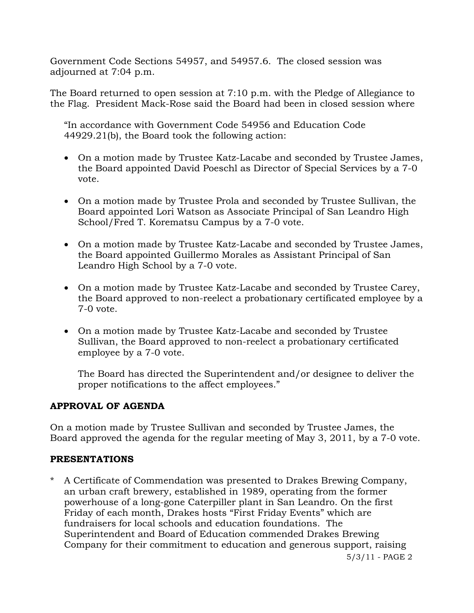Government Code Sections 54957, and 54957.6. The closed session was adjourned at 7:04 p.m.

The Board returned to open session at 7:10 p.m. with the Pledge of Allegiance to the Flag. President Mack-Rose said the Board had been in closed session where

"In accordance with Government Code 54956 and Education Code 44929.21(b), the Board took the following action:

- On a motion made by Trustee Katz-Lacabe and seconded by Trustee James, the Board appointed David Poeschl as Director of Special Services by a 7-0 vote.
- On a motion made by Trustee Prola and seconded by Trustee Sullivan, the Board appointed Lori Watson as Associate Principal of San Leandro High School/Fred T. Korematsu Campus by a 7-0 vote.
- On a motion made by Trustee Katz-Lacabe and seconded by Trustee James, the Board appointed Guillermo Morales as Assistant Principal of San Leandro High School by a 7-0 vote.
- On a motion made by Trustee Katz-Lacabe and seconded by Trustee Carey, the Board approved to non-reelect a probationary certificated employee by a 7-0 vote.
- On a motion made by Trustee Katz-Lacabe and seconded by Trustee Sullivan, the Board approved to non-reelect a probationary certificated employee by a 7-0 vote.

The Board has directed the Superintendent and/or designee to deliver the proper notifications to the affect employees."

# **APPROVAL OF AGENDA**

On a motion made by Trustee Sullivan and seconded by Trustee James, the Board approved the agenda for the regular meeting of May 3, 2011, by a 7-0 vote.

# **PRESENTATIONS**

A Certificate of Commendation was presented to Drakes Brewing Company, an urban craft brewery, established in 1989, operating from the former powerhouse of a long-gone Caterpiller plant in San Leandro. On the first Friday of each month, Drakes hosts "First Friday Events" which are fundraisers for local schools and education foundations. The Superintendent and Board of Education commended Drakes Brewing Company for their commitment to education and generous support, raising

5/3/11 - PAGE 2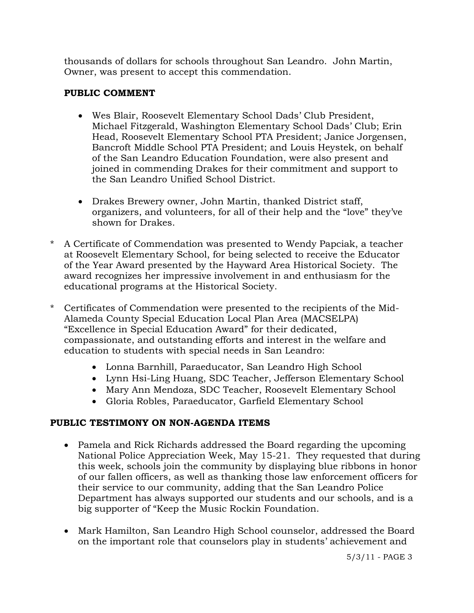thousands of dollars for schools throughout San Leandro. John Martin, Owner, was present to accept this commendation.

# **PUBLIC COMMENT**

- Wes Blair, Roosevelt Elementary School Dads' Club President, Michael Fitzgerald, Washington Elementary School Dads' Club; Erin Head, Roosevelt Elementary School PTA President; Janice Jorgensen, Bancroft Middle School PTA President; and Louis Heystek, on behalf of the San Leandro Education Foundation, were also present and joined in commending Drakes for their commitment and support to the San Leandro Unified School District.
- Drakes Brewery owner, John Martin, thanked District staff, organizers, and volunteers, for all of their help and the "love" they've shown for Drakes.
- A Certificate of Commendation was presented to Wendy Papciak, a teacher at Roosevelt Elementary School, for being selected to receive the Educator of the Year Award presented by the Hayward Area Historical Society. The award recognizes her impressive involvement in and enthusiasm for the educational programs at the Historical Society.
- \* Certificates of Commendation were presented to the recipients of the Mid-Alameda County Special Education Local Plan Area (MACSELPA) "Excellence in Special Education Award" for their dedicated, compassionate, and outstanding efforts and interest in the welfare and education to students with special needs in San Leandro:
	- Lonna Barnhill, Paraeducator, San Leandro High School
	- Lynn Hsi-Ling Huang, SDC Teacher, Jefferson Elementary School
	- Mary Ann Mendoza, SDC Teacher, Roosevelt Elementary School
	- Gloria Robles, Paraeducator, Garfield Elementary School

# **PUBLIC TESTIMONY ON NON-AGENDA ITEMS**

- Pamela and Rick Richards addressed the Board regarding the upcoming National Police Appreciation Week, May 15-21. They requested that during this week, schools join the community by displaying blue ribbons in honor of our fallen officers, as well as thanking those law enforcement officers for their service to our community, adding that the San Leandro Police Department has always supported our students and our schools, and is a big supporter of "Keep the Music Rockin Foundation.
- Mark Hamilton, San Leandro High School counselor, addressed the Board on the important role that counselors play in students' achievement and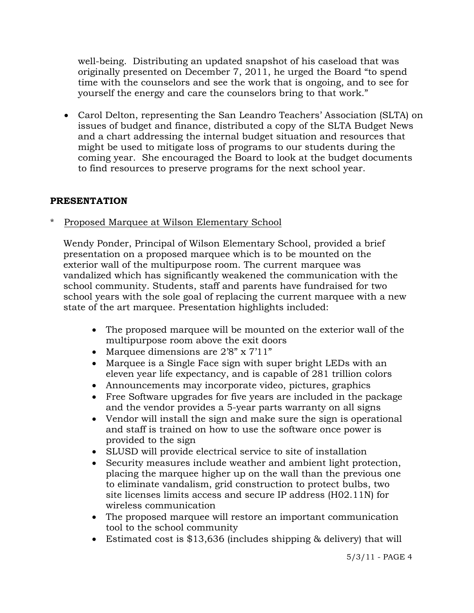well-being. Distributing an updated snapshot of his caseload that was originally presented on December 7, 2011, he urged the Board "to spend time with the counselors and see the work that is ongoing, and to see for yourself the energy and care the counselors bring to that work."

• Carol Delton, representing the San Leandro Teachers' Association (SLTA) on issues of budget and finance, distributed a copy of the SLTA Budget News and a chart addressing the internal budget situation and resources that might be used to mitigate loss of programs to our students during the coming year. She encouraged the Board to look at the budget documents to find resources to preserve programs for the next school year.

# **PRESENTATION**

\* Proposed Marquee at Wilson Elementary School

 Wendy Ponder, Principal of Wilson Elementary School, provided a brief presentation on a proposed marquee which is to be mounted on the exterior wall of the multipurpose room. The current marquee was vandalized which has significantly weakened the communication with the school community. Students, staff and parents have fundraised for two school years with the sole goal of replacing the current marquee with a new state of the art marquee. Presentation highlights included:

- The proposed marquee will be mounted on the exterior wall of the multipurpose room above the exit doors
- Marquee dimensions are 2'8" x 7'11"
- Marquee is a Single Face sign with super bright LEDs with an eleven year life expectancy, and is capable of 281 trillion colors
- Announcements may incorporate video, pictures, graphics
- Free Software upgrades for five years are included in the package and the vendor provides a 5-year parts warranty on all signs
- Vendor will install the sign and make sure the sign is operational and staff is trained on how to use the software once power is provided to the sign
- SLUSD will provide electrical service to site of installation
- Security measures include weather and ambient light protection, placing the marquee higher up on the wall than the previous one to eliminate vandalism, grid construction to protect bulbs, two site licenses limits access and secure IP address (H02.11N) for wireless communication
- The proposed marquee will restore an important communication tool to the school community
- Estimated cost is \$13,636 (includes shipping & delivery) that will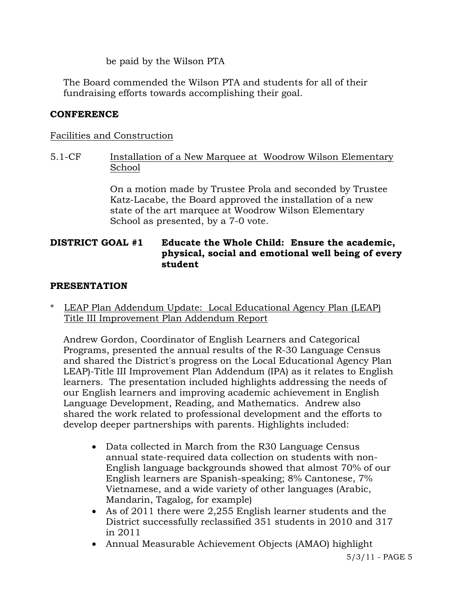be paid by the Wilson PTA

 The Board commended the Wilson PTA and students for all of their fundraising efforts towards accomplishing their goal.

# **CONFERENCE**

# Facilities and Construction

5.1-CF Installation of a New Marquee at Woodrow Wilson Elementary School

> On a motion made by Trustee Prola and seconded by Trustee Katz-Lacabe, the Board approved the installation of a new state of the art marquee at Woodrow Wilson Elementary School as presented, by a 7-0 vote.

# **DISTRICT GOAL #1 Educate the Whole Child: Ensure the academic, physical, social and emotional well being of every student**

# **PRESENTATION**

\* LEAP Plan Addendum Update: Local Educational Agency Plan (LEAP) Title III Improvement Plan Addendum Report

 Andrew Gordon, Coordinator of English Learners and Categorical Programs, presented the annual results of the R-30 Language Census and shared the District's progress on the Local Educational Agency Plan LEAP)-Title III Improvement Plan Addendum (IPA) as it relates to English learners. The presentation included highlights addressing the needs of our English learners and improving academic achievement in English Language Development, Reading, and Mathematics. Andrew also shared the work related to professional development and the efforts to develop deeper partnerships with parents. Highlights included:

- Data collected in March from the R30 Language Census annual state-required data collection on students with non-English language backgrounds showed that almost 70% of our English learners are Spanish-speaking; 8% Cantonese, 7% Vietnamese, and a wide variety of other languages (Arabic, Mandarin, Tagalog, for example)
- As of 2011 there were 2,255 English learner students and the District successfully reclassified 351 students in 2010 and 317 in 2011
- Annual Measurable Achievement Objects (AMAO) highlight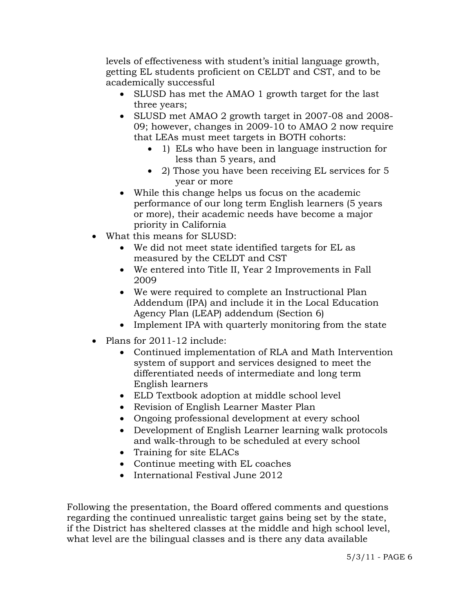levels of effectiveness with student's initial language growth, getting EL students proficient on CELDT and CST, and to be academically successful

- SLUSD has met the AMAO 1 growth target for the last three years;
- SLUSD met AMAO 2 growth target in 2007-08 and 2008- 09; however, changes in 2009-10 to AMAO 2 now require that LEAs must meet targets in BOTH cohorts:
	- 1) ELs who have been in language instruction for less than 5 years, and
	- 2) Those you have been receiving EL services for 5 year or more
- While this change helps us focus on the academic performance of our long term English learners (5 years or more), their academic needs have become a major priority in California
- What this means for SLUSD:
	- We did not meet state identified targets for EL as measured by the CELDT and CST
	- We entered into Title II, Year 2 Improvements in Fall 2009
	- We were required to complete an Instructional Plan Addendum (IPA) and include it in the Local Education Agency Plan (LEAP) addendum (Section 6)
	- Implement IPA with quarterly monitoring from the state
- Plans for 2011-12 include:
	- Continued implementation of RLA and Math Intervention system of support and services designed to meet the differentiated needs of intermediate and long term English learners
	- ELD Textbook adoption at middle school level
	- Revision of English Learner Master Plan
	- Ongoing professional development at every school
	- Development of English Learner learning walk protocols and walk-through to be scheduled at every school
	- Training for site ELACs
	- Continue meeting with EL coaches
	- International Festival June 2012

Following the presentation, the Board offered comments and questions regarding the continued unrealistic target gains being set by the state, if the District has sheltered classes at the middle and high school level, what level are the bilingual classes and is there any data available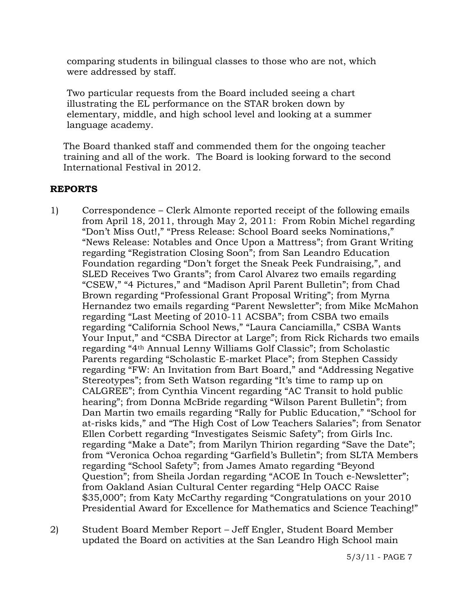comparing students in bilingual classes to those who are not, which were addressed by staff.

Two particular requests from the Board included seeing a chart illustrating the EL performance on the STAR broken down by elementary, middle, and high school level and looking at a summer language academy.

 The Board thanked staff and commended them for the ongoing teacher training and all of the work. The Board is looking forward to the second International Festival in 2012.

# **REPORTS**

- 1) Correspondence Clerk Almonte reported receipt of the following emails from April 18, 2011, through May 2, 2011: From Robin Michel regarding "Don't Miss Out!," "Press Release: School Board seeks Nominations," "News Release: Notables and Once Upon a Mattress"; from Grant Writing regarding "Registration Closing Soon"; from San Leandro Education Foundation regarding "Don't forget the Sneak Peek Fundraising,", and SLED Receives Two Grants"; from Carol Alvarez two emails regarding "CSEW," "4 Pictures," and "Madison April Parent Bulletin"; from Chad Brown regarding "Professional Grant Proposal Writing"; from Myrna Hernandez two emails regarding "Parent Newsletter"; from Mike McMahon regarding "Last Meeting of 2010-11 ACSBA"; from CSBA two emails regarding "California School News," "Laura Canciamilla," CSBA Wants Your Input," and "CSBA Director at Large"; from Rick Richards two emails regarding "4th Annual Lenny Williams Golf Classic"; from Scholastic Parents regarding "Scholastic E-market Place"; from Stephen Cassidy regarding "FW: An Invitation from Bart Board," and "Addressing Negative Stereotypes"; from Seth Watson regarding "It's time to ramp up on CALGREE"; from Cynthia Vincent regarding "AC Transit to hold public hearing"; from Donna McBride regarding "Wilson Parent Bulletin"; from Dan Martin two emails regarding "Rally for Public Education," "School for at-risks kids," and "The High Cost of Low Teachers Salaries"; from Senator Ellen Corbett regarding "Investigates Seismic Safety"; from Girls Inc. regarding "Make a Date"; from Marilyn Thirion regarding "Save the Date"; from "Veronica Ochoa regarding "Garfield's Bulletin"; from SLTA Members regarding "School Safety"; from James Amato regarding "Beyond Question"; from Sheila Jordan regarding "ACOE In Touch e-Newsletter"; from Oakland Asian Cultural Center regarding "Help OACC Raise \$35,000"; from Katy McCarthy regarding "Congratulations on your 2010 Presidential Award for Excellence for Mathematics and Science Teaching!"
- 2) Student Board Member Report Jeff Engler, Student Board Member updated the Board on activities at the San Leandro High School main

5/3/11 - PAGE 7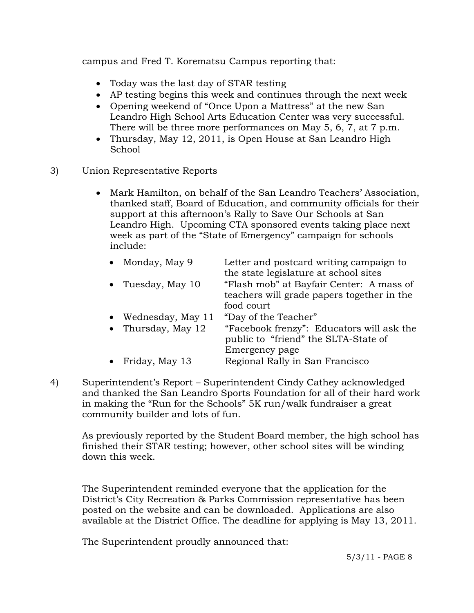campus and Fred T. Korematsu Campus reporting that:

- Today was the last day of STAR testing
- AP testing begins this week and continues through the next week
- Opening weekend of "Once Upon a Mattress" at the new San Leandro High School Arts Education Center was very successful. There will be three more performances on May 5, 6, 7, at 7 p.m.
- Thursday, May 12, 2011, is Open House at San Leandro High School
- 3) Union Representative Reports
	- Mark Hamilton, on behalf of the San Leandro Teachers' Association, thanked staff, Board of Education, and community officials for their support at this afternoon's Rally to Save Our Schools at San Leandro High. Upcoming CTA sponsored events taking place next week as part of the "State of Emergency" campaign for schools include:

|           | • Monday, May 9   | Letter and postcard writing campaign to    |
|-----------|-------------------|--------------------------------------------|
|           |                   | the state legislature at school sites      |
| $\bullet$ | Tuesday, May 10   | "Flash mob" at Bayfair Center: A mass of   |
|           |                   | teachers will grade papers together in the |
|           |                   | food court                                 |
|           | Wednesday, May 11 | "Day of the Teacher"                       |
| $\bullet$ | Thursday, May 12  | "Facebook frenzy": Educators will ask the  |
|           |                   | public to "friend" the SLTA-State of       |
|           |                   | Emergency page                             |
|           | Friday, May 13    | Regional Rally in San Francisco            |

4) Superintendent's Report – Superintendent Cindy Cathey acknowledged and thanked the San Leandro Sports Foundation for all of their hard work in making the "Run for the Schools" 5K run/walk fundraiser a great community builder and lots of fun.

As previously reported by the Student Board member, the high school has finished their STAR testing; however, other school sites will be winding down this week.

The Superintendent reminded everyone that the application for the District's City Recreation & Parks Commission representative has been posted on the website and can be downloaded. Applications are also available at the District Office. The deadline for applying is May 13, 2011.

The Superintendent proudly announced that: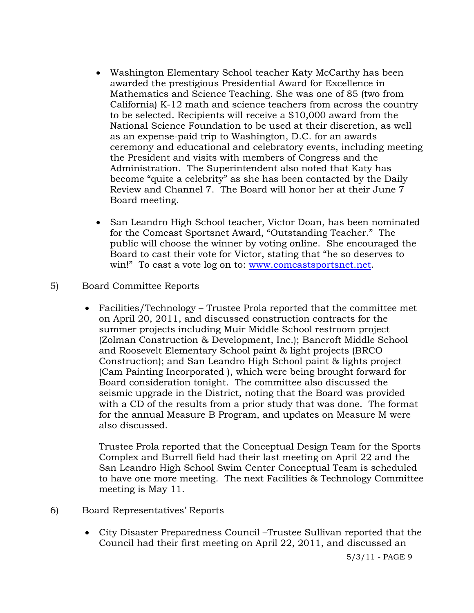- Washington Elementary School teacher Katy McCarthy has been awarded the prestigious Presidential Award for Excellence in Mathematics and Science Teaching. She was one of 85 (two from California) K-12 math and science teachers from across the country to be selected. Recipients will receive a \$10,000 award from the National Science Foundation to be used at their discretion, as well as an expense-paid trip to Washington, D.C. for an awards ceremony and educational and celebratory events, including meeting the President and visits with members of Congress and the Administration. The Superintendent also noted that Katy has become "quite a celebrity" as she has been contacted by the Daily Review and Channel 7. The Board will honor her at their June 7 Board meeting.
- San Leandro High School teacher, Victor Doan, has been nominated for the Comcast Sportsnet Award, "Outstanding Teacher." The public will choose the winner by voting online. She encouraged the Board to cast their vote for Victor, stating that "he so deserves to win!" To cast a vote log on to: www.comcastsportsnet.net.
- 5) Board Committee Reports
	- Facilities/Technology Trustee Prola reported that the committee met on April 20, 2011, and discussed construction contracts for the summer projects including Muir Middle School restroom project (Zolman Construction & Development, Inc.); Bancroft Middle School and Roosevelt Elementary School paint & light projects (BRCO Construction); and San Leandro High School paint & lights project (Cam Painting Incorporated ), which were being brought forward for Board consideration tonight. The committee also discussed the seismic upgrade in the District, noting that the Board was provided with a CD of the results from a prior study that was done. The format for the annual Measure B Program, and updates on Measure M were also discussed.

Trustee Prola reported that the Conceptual Design Team for the Sports Complex and Burrell field had their last meeting on April 22 and the San Leandro High School Swim Center Conceptual Team is scheduled to have one more meeting. The next Facilities & Technology Committee meeting is May 11.

- 6) Board Representatives' Reports
	- City Disaster Preparedness Council –Trustee Sullivan reported that the Council had their first meeting on April 22, 2011, and discussed an

5/3/11 - PAGE 9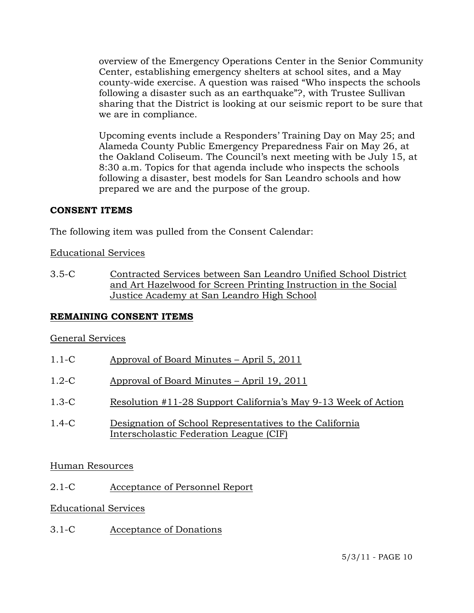overview of the Emergency Operations Center in the Senior Community Center, establishing emergency shelters at school sites, and a May county-wide exercise. A question was raised "Who inspects the schools following a disaster such as an earthquake"?, with Trustee Sullivan sharing that the District is looking at our seismic report to be sure that we are in compliance.

Upcoming events include a Responders' Training Day on May 25; and Alameda County Public Emergency Preparedness Fair on May 26, at the Oakland Coliseum. The Council's next meeting with be July 15, at 8:30 a.m. Topics for that agenda include who inspects the schools following a disaster, best models for San Leandro schools and how prepared we are and the purpose of the group.

# **CONSENT ITEMS**

The following item was pulled from the Consent Calendar:

# Educational Services

3.5-C Contracted Services between San Leandro Unified School District and Art Hazelwood for Screen Printing Instruction in the Social Justice Academy at San Leandro High School

# **REMAINING CONSENT ITEMS**

#### General Services

- 1.1-C Approval of Board Minutes April 5, 2011
- 1.2-C Approval of Board Minutes April 19, 2011
- 1.3-C Resolution #11-28 Support California's May 9-13 Week of Action
- 1.4-C Designation of School Representatives to the California Interscholastic Federation League (CIF)

#### Human Resources

2.1-C Acceptance of Personnel Report

# Educational Services

3.1-C Acceptance of Donations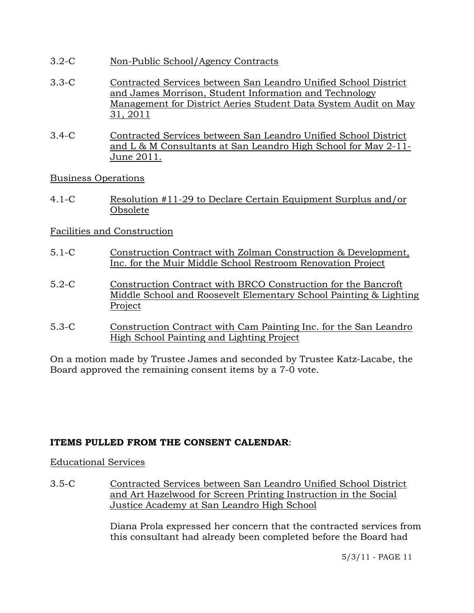- 3.2-C Non-Public School/Agency Contracts
- 3.3-C Contracted Services between San Leandro Unified School District and James Morrison, Student Information and Technology Management for District Aeries Student Data System Audit on May 31, 2011
- 3.4-C Contracted Services between San Leandro Unified School District and L & M Consultants at San Leandro High School for May 2-11- June 2011.

Business Operations

4.1-C Resolution #11-29 to Declare Certain Equipment Surplus and/or Obsolete

# Facilities and Construction

- 5.1-C Construction Contract with Zolman Construction & Development, Inc. for the Muir Middle School Restroom Renovation Project
- 5.2-C Construction Contract with BRCO Construction for the Bancroft Middle School and Roosevelt Elementary School Painting & Lighting Project
- 5.3-C Construction Contract with Cam Painting Inc. for the San Leandro High School Painting and Lighting Project

On a motion made by Trustee James and seconded by Trustee Katz-Lacabe, the Board approved the remaining consent items by a 7-0 vote.

# **ITEMS PULLED FROM THE CONSENT CALENDAR**:

Educational Services

3.5-C Contracted Services between San Leandro Unified School District and Art Hazelwood for Screen Printing Instruction in the Social Justice Academy at San Leandro High School

> Diana Prola expressed her concern that the contracted services from this consultant had already been completed before the Board had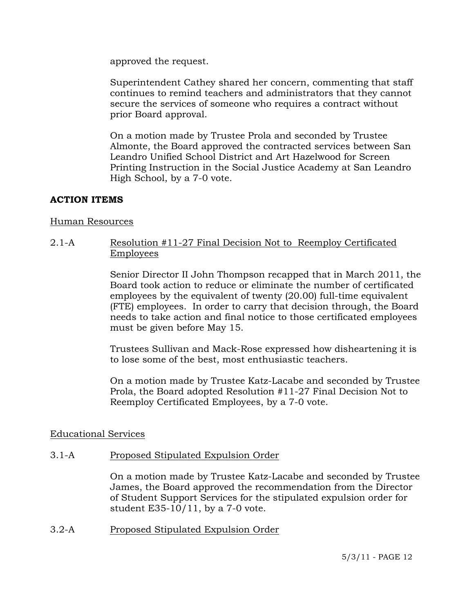approved the request.

Superintendent Cathey shared her concern, commenting that staff continues to remind teachers and administrators that they cannot secure the services of someone who requires a contract without prior Board approval.

On a motion made by Trustee Prola and seconded by Trustee Almonte, the Board approved the contracted services between San Leandro Unified School District and Art Hazelwood for Screen Printing Instruction in the Social Justice Academy at San Leandro High School, by a 7-0 vote.

# **ACTION ITEMS**

### Human Resources

# 2.1-A Resolution #11-27 Final Decision Not to Reemploy Certificated Employees

Senior Director II John Thompson recapped that in March 2011, the Board took action to reduce or eliminate the number of certificated employees by the equivalent of twenty (20.00) full-time equivalent (FTE) employees. In order to carry that decision through, the Board needs to take action and final notice to those certificated employees must be given before May 15.

Trustees Sullivan and Mack-Rose expressed how disheartening it is to lose some of the best, most enthusiastic teachers.

On a motion made by Trustee Katz-Lacabe and seconded by Trustee Prola, the Board adopted Resolution #11-27 Final Decision Not to Reemploy Certificated Employees, by a 7-0 vote.

# Educational Services

# 3.1-A Proposed Stipulated Expulsion Order

On a motion made by Trustee Katz-Lacabe and seconded by Trustee James, the Board approved the recommendation from the Director of Student Support Services for the stipulated expulsion order for student E35-10/11, by a 7-0 vote.

3.2-A Proposed Stipulated Expulsion Order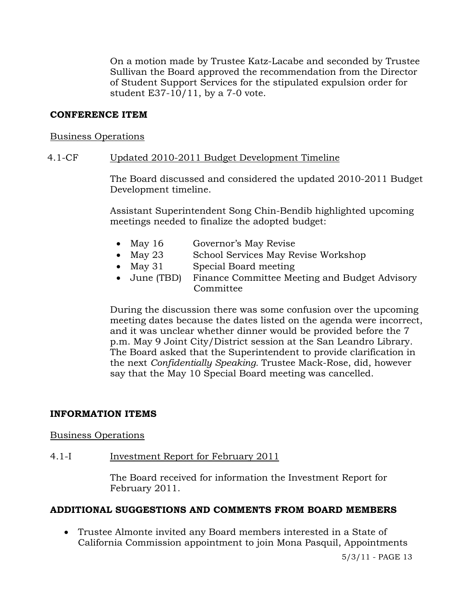On a motion made by Trustee Katz-Lacabe and seconded by Trustee Sullivan the Board approved the recommendation from the Director of Student Support Services for the stipulated expulsion order for student E37-10/11, by a 7-0 vote.

### **CONFERENCE ITEM**

#### Business Operations

### 4.1-CF Updated 2010-2011 Budget Development Timeline

The Board discussed and considered the updated 2010-2011 Budget Development timeline.

Assistant Superintendent Song Chin-Bendib highlighted upcoming meetings needed to finalize the adopted budget:

- May 16 Governor's May Revise
- May 23 School Services May Revise Workshop
- May 31 Special Board meeting
- June (TBD) Finance Committee Meeting and Budget Advisory **Committee**

During the discussion there was some confusion over the upcoming meeting dates because the dates listed on the agenda were incorrect, and it was unclear whether dinner would be provided before the 7 p.m. May 9 Joint City/District session at the San Leandro Library. The Board asked that the Superintendent to provide clarification in the next *Confidentially Speaking.* Trustee Mack-Rose, did, however say that the May 10 Special Board meeting was cancelled.

#### **INFORMATION ITEMS**

#### Business Operations

# 4.1-I Investment Report for February 2011

The Board received for information the Investment Report for February 2011.

#### **ADDITIONAL SUGGESTIONS AND COMMENTS FROM BOARD MEMBERS**

 Trustee Almonte invited any Board members interested in a State of California Commission appointment to join Mona Pasquil, Appointments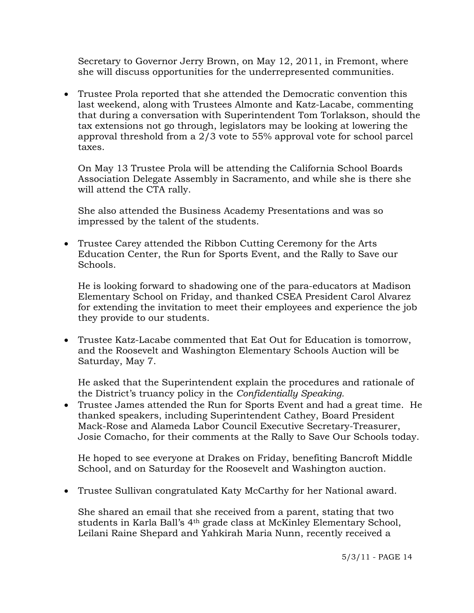Secretary to Governor Jerry Brown, on May 12, 2011, in Fremont, where she will discuss opportunities for the underrepresented communities.

 Trustee Prola reported that she attended the Democratic convention this last weekend, along with Trustees Almonte and Katz-Lacabe, commenting that during a conversation with Superintendent Tom Torlakson, should the tax extensions not go through, legislators may be looking at lowering the approval threshold from a 2/3 vote to 55% approval vote for school parcel taxes.

On May 13 Trustee Prola will be attending the California School Boards Association Delegate Assembly in Sacramento, and while she is there she will attend the CTA rally.

She also attended the Business Academy Presentations and was so impressed by the talent of the students.

 Trustee Carey attended the Ribbon Cutting Ceremony for the Arts Education Center, the Run for Sports Event, and the Rally to Save our Schools.

He is looking forward to shadowing one of the para-educators at Madison Elementary School on Friday, and thanked CSEA President Carol Alvarez for extending the invitation to meet their employees and experience the job they provide to our students.

 Trustee Katz-Lacabe commented that Eat Out for Education is tomorrow, and the Roosevelt and Washington Elementary Schools Auction will be Saturday, May 7.

He asked that the Superintendent explain the procedures and rationale of the District's truancy policy in the *Confidentially Speaking.* 

 Trustee James attended the Run for Sports Event and had a great time. He thanked speakers, including Superintendent Cathey, Board President Mack-Rose and Alameda Labor Council Executive Secretary-Treasurer, Josie Comacho, for their comments at the Rally to Save Our Schools today.

He hoped to see everyone at Drakes on Friday, benefiting Bancroft Middle School, and on Saturday for the Roosevelt and Washington auction.

Trustee Sullivan congratulated Katy McCarthy for her National award.

She shared an email that she received from a parent, stating that two students in Karla Ball's 4th grade class at McKinley Elementary School, Leilani Raine Shepard and Yahkirah Maria Nunn, recently received a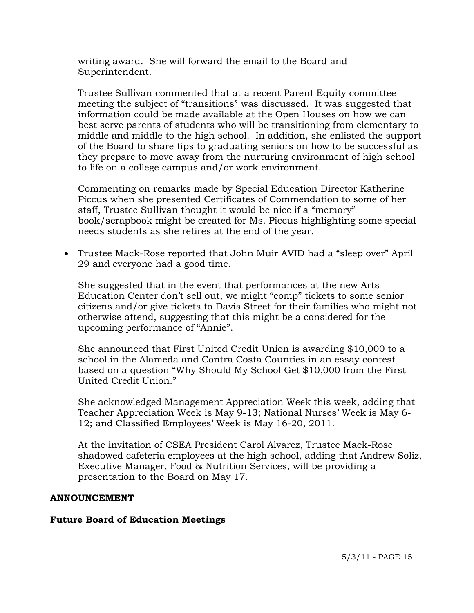writing award. She will forward the email to the Board and Superintendent.

Trustee Sullivan commented that at a recent Parent Equity committee meeting the subject of "transitions" was discussed. It was suggested that information could be made available at the Open Houses on how we can best serve parents of students who will be transitioning from elementary to middle and middle to the high school. In addition, she enlisted the support of the Board to share tips to graduating seniors on how to be successful as they prepare to move away from the nurturing environment of high school to life on a college campus and/or work environment.

Commenting on remarks made by Special Education Director Katherine Piccus when she presented Certificates of Commendation to some of her staff, Trustee Sullivan thought it would be nice if a "memory" book/scrapbook might be created for Ms. Piccus highlighting some special needs students as she retires at the end of the year.

 Trustee Mack-Rose reported that John Muir AVID had a "sleep over" April 29 and everyone had a good time.

She suggested that in the event that performances at the new Arts Education Center don't sell out, we might "comp" tickets to some senior citizens and/or give tickets to Davis Street for their families who might not otherwise attend, suggesting that this might be a considered for the upcoming performance of "Annie".

She announced that First United Credit Union is awarding \$10,000 to a school in the Alameda and Contra Costa Counties in an essay contest based on a question "Why Should My School Get \$10,000 from the First United Credit Union."

She acknowledged Management Appreciation Week this week, adding that Teacher Appreciation Week is May 9-13; National Nurses' Week is May 6- 12; and Classified Employees' Week is May 16-20, 2011.

At the invitation of CSEA President Carol Alvarez, Trustee Mack-Rose shadowed cafeteria employees at the high school, adding that Andrew Soliz, Executive Manager, Food & Nutrition Services, will be providing a presentation to the Board on May 17.

#### **ANNOUNCEMENT**

# **Future Board of Education Meetings**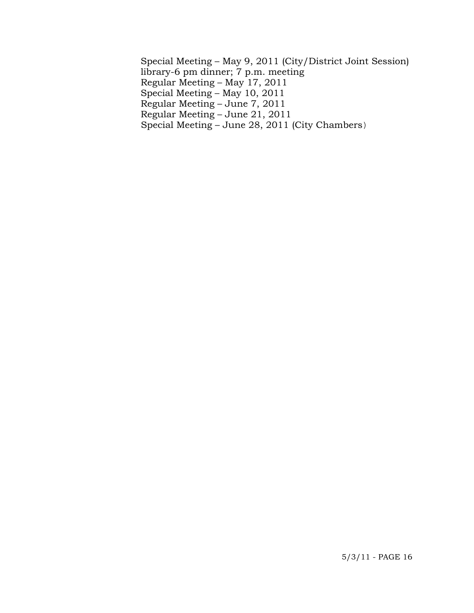Special Meeting – May 9, 2011 (City/District Joint Session) library-6 pm dinner; 7 p.m. meeting Regular Meeting – May 17, 2011 Special Meeting – May 10, 2011 Regular Meeting – June 7, 2011 Regular Meeting – June 21, 2011 Special Meeting – June 28, 2011 (City Chambers)